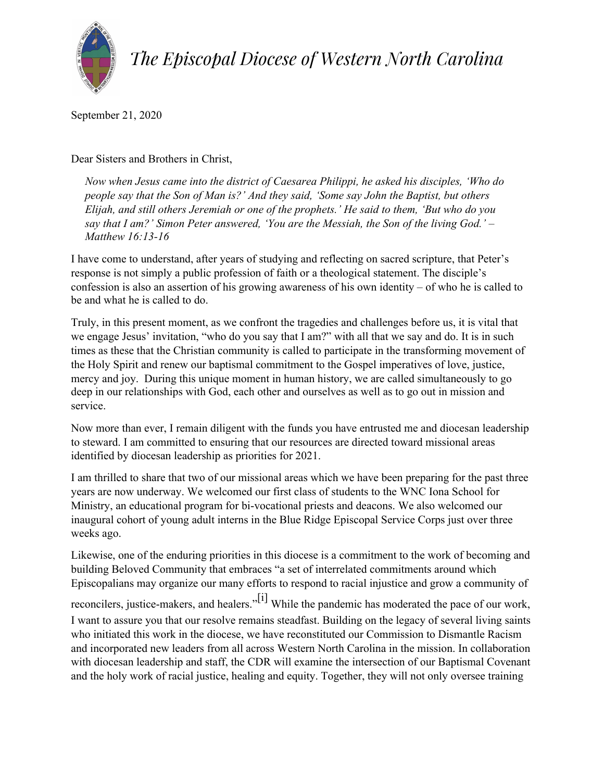

*The Episcopal Diocese of Western North Carolina*

September 21, 2020

Dear Sisters and Brothers in Christ,

*Now when Jesus came into the district of Caesarea Philippi, he asked his disciples, 'Who do people say that the Son of Man is?' And they said, 'Some say John the Baptist, but others Elijah, and still others Jeremiah or one of the prophets.' He said to them, 'But who do you say that I am?' Simon Peter answered, 'You are the Messiah, the Son of the living God.' – Matthew 16:13-16*

I have come to understand, after years of studying and reflecting on sacred scripture, that Peter's response is not simply a public profession of faith or a theological statement. The disciple's confession is also an assertion of his growing awareness of his own identity – of who he is called to be and what he is called to do.

Truly, in this present moment, as we confront the tragedies and challenges before us, it is vital that we engage Jesus' invitation, "who do you say that I am?" with all that we say and do. It is in such times as these that the Christian community is called to participate in the transforming movement of the Holy Spirit and renew our baptismal commitment to the Gospel imperatives of love, justice, mercy and joy. During this unique moment in human history, we are called simultaneously to go deep in our relationships with God, each other and ourselves as well as to go out in mission and service.

Now more than ever, I remain diligent with the funds you have entrusted me and diocesan leadership to steward. I am committed to ensuring that our resources are directed toward missional areas identified by diocesan leadership as priorities for 2021.

I am thrilled to share that two of our missional areas which we have been preparing for the past three years are now underway. We welcomed our first class of students to the WNC Iona School for Ministry, an educational program for bi-vocational priests and deacons. We also welcomed our inaugural cohort of young adult interns in the Blue Ridge Episcopal Service Corps just over three weeks ago.

Likewise, one of the enduring priorities in this diocese is a commitment to the work of becoming and building Beloved Community that embraces "a set of interrelated commitments around which Episcopalians may organize our many efforts to respond to racial injustice and grow a community of

reconcilers, justice-makers, and healers."<sup>[i]</sup> While the pandemic has moderated the pace of our work, I want to assure you that our resolve remains steadfast. Building on the legacy of several living saints who initiated this work in the diocese, we have reconstituted our Commission to Dismantle Racism and incorporated new leaders from all across Western North Carolina in the mission. In collaboration with diocesan leadership and staff, the CDR will examine the intersection of our Baptismal Covenant and the holy work of racial justice, healing and equity. Together, they will not only oversee training